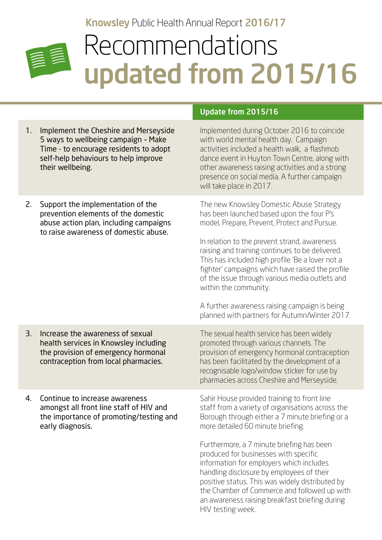## Knowsley Public Health Annual Report 2016/17



## Recommendations updated from 2015/16

Update from 2015/16

| 1.<br>Implement the Cheshire and Merseyside<br>5 ways to wellbeing campaign - Make<br>Time - to encourage residents to adopt<br>self-help behaviours to help improve<br>their wellbeing. | Implemented during October 2016 to coincide<br>with world mental health day. Campaign<br>activities included a health walk, a flashmob<br>dance event in Huyton Town Centre, along with<br>other awareness raising activities and a strong<br>presence on social media. A further campaign<br>will take place in 2017.                                                                                                                                                                                                                           |
|------------------------------------------------------------------------------------------------------------------------------------------------------------------------------------------|--------------------------------------------------------------------------------------------------------------------------------------------------------------------------------------------------------------------------------------------------------------------------------------------------------------------------------------------------------------------------------------------------------------------------------------------------------------------------------------------------------------------------------------------------|
| 2.<br>Support the implementation of the<br>prevention elements of the domestic<br>abuse action plan, including campaigns<br>to raise awareness of domestic abuse.                        | The new Knowsley Domestic Abuse Strategy<br>has been launched based upon the four P's<br>model, Prepare, Prevent, Protect and Pursue.<br>In relation to the prevent strand, awareness<br>raising and training continues to be delivered.<br>This has included high profile 'Be a lover not a<br>fighter' campaigns which have raised the profile<br>of the issue through various media outlets and<br>within the community.<br>A further awareness raising campaign is being<br>planned with partners for Autumn/Winter 2017.                    |
| 3.<br>Increase the awareness of sexual<br>health services in Knowsley including<br>the provision of emergency hormonal<br>contraception from local pharmacies.                           | The sexual health service has been widely<br>promoted through various channels. The<br>provision of emergency hormonal contraception<br>has been facilitated by the development of a<br>recognisable logo/window sticker for use by<br>pharmacies across Cheshire and Merseyside.                                                                                                                                                                                                                                                                |
| Continue to increase awareness<br>4.<br>amongst all front line staff of HIV and<br>the importance of promoting/testing and<br>early diagnosis.                                           | Sahir House provided training to front line<br>staff from a variety of organisations across the<br>Borough through either a 7 minute briefing or a<br>more detailed 60 minute briefing.<br>Furthermore, a 7 minute briefing has been<br>produced for businesses with specific<br>information for employers which includes<br>handling disclosure by employees of their<br>positive status. This was widely distributed by<br>the Chamber of Commerce and followed up with<br>an awareness raising breakfast briefing during<br>HIV testing week. |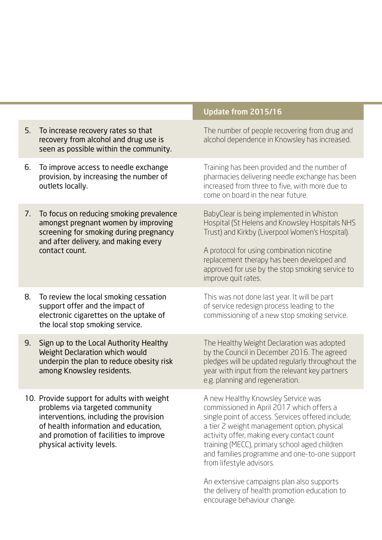|    |                                                                                                                                                                                                                                        | Update from 2015/16                                                                                                                                                                                                                                                                                                                                                                                                                                           |
|----|----------------------------------------------------------------------------------------------------------------------------------------------------------------------------------------------------------------------------------------|---------------------------------------------------------------------------------------------------------------------------------------------------------------------------------------------------------------------------------------------------------------------------------------------------------------------------------------------------------------------------------------------------------------------------------------------------------------|
| 5. | To increase recovery rates so that<br>recovery from alcohol and drug use is<br>seen as possible within the community.                                                                                                                  | The number of people recovering from drug and<br>alcohol dependence in Knowsley has increased.                                                                                                                                                                                                                                                                                                                                                                |
| 6. | To improve access to needle exchange<br>provision, by increasing the number of<br>outlets locally.                                                                                                                                     | Training has been provided and the number of<br>pharmacies delivering needle exchange has been<br>increased from three to five, with more due to<br>come on board in the near future.                                                                                                                                                                                                                                                                         |
| 7. | To focus on reducing smoking prevalence<br>amongst pregnant women by improving<br>screening for smoking during pregnancy<br>and after delivery, and making every<br>contact count.                                                     | BabyClear is being implemented in Whiston<br>Hospital (St Helens and Knowsley Hospitals NHS<br>Trust) and Kirkby (Liverpool Women's Hospital).<br>A protocol for using combination nicotine<br>replacement therapy has been developed and<br>approved for use by the stop smoking service to                                                                                                                                                                  |
|    |                                                                                                                                                                                                                                        | improve quit rates.                                                                                                                                                                                                                                                                                                                                                                                                                                           |
| 8. | To review the local smoking cessation<br>support offer and the impact of<br>electronic cigarettes on the uptake of<br>the local stop smoking service.                                                                                  | This was not done last year. It will be part<br>of service redesign process leading to the<br>commissioning of a new stop smoking service.                                                                                                                                                                                                                                                                                                                    |
| 9. | Sign up to the Local Authority Healthy<br>Weight Declaration which would<br>underpin the plan to reduce obesity risk<br>among Knowsley residents.                                                                                      | The Healthy Weight Declaration was adopted<br>by the Council in December 2016. The agreed<br>pledges will be updated regularly throughout the<br>year with input from the relevant key partners<br>e.g. planning and regeneration.                                                                                                                                                                                                                            |
|    | 10. Provide support for adults with weight<br>problems via targeted community<br>interventions, including the provision<br>of health information and education,<br>and promotion of facilities to improve<br>physical activity levels. | A new Healthy Knowsley Service was<br>commissioned in April 2017 which offers a<br>single point of access. Services offered include;<br>a tier 2 weight management option, physical<br>activity offer, making every contact count<br>training (MECC), primary school aged children<br>and families programme and one-to-one support<br>from lifestyle advisors.<br>An extensive campaigns plan also supports<br>the delivery of health promotion education to |
|    |                                                                                                                                                                                                                                        | encourage behaviour change.                                                                                                                                                                                                                                                                                                                                                                                                                                   |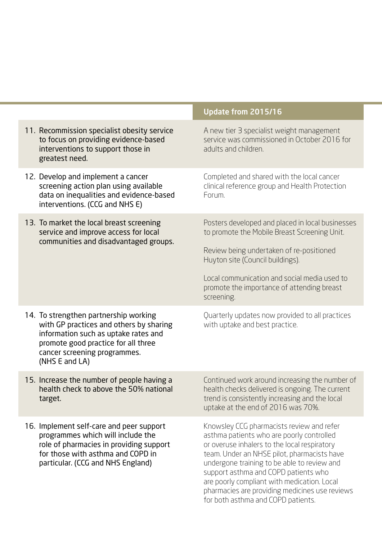|                                                                                                                                                                                                                   | Update from 2015/16                                                                                                                                                                                                                                                                                                                                                                                                 |
|-------------------------------------------------------------------------------------------------------------------------------------------------------------------------------------------------------------------|---------------------------------------------------------------------------------------------------------------------------------------------------------------------------------------------------------------------------------------------------------------------------------------------------------------------------------------------------------------------------------------------------------------------|
| 11. Recommission specialist obesity service<br>to focus on providing evidence-based<br>interventions to support those in<br>greatest need.                                                                        | A new tier 3 specialist weight management<br>service was commissioned in October 2016 for<br>adults and children.                                                                                                                                                                                                                                                                                                   |
| 12. Develop and implement a cancer<br>screening action plan using available<br>data on inequalities and evidence-based<br>interventions. (CCG and NHS E)                                                          | Completed and shared with the local cancer<br>clinical reference group and Health Protection<br>Forum.                                                                                                                                                                                                                                                                                                              |
| 13. To market the local breast screening<br>service and improve access for local<br>communities and disadvantaged groups.                                                                                         | Posters developed and placed in local businesses<br>to promote the Mobile Breast Screening Unit.<br>Review being undertaken of re-positioned<br>Huyton site (Council buildings).<br>Local communication and social media used to<br>promote the importance of attending breast<br>screening.                                                                                                                        |
| 14. To strengthen partnership working<br>with GP practices and others by sharing<br>information such as uptake rates and<br>promote good practice for all three<br>cancer screening programmes.<br>(NHS E and LA) | Quarterly updates now provided to all practices<br>with uptake and best practice.                                                                                                                                                                                                                                                                                                                                   |
| 15. Increase the number of people having a<br>health check to above the 50% national<br>target.                                                                                                                   | Continued work around increasing the number of<br>health checks delivered is ongoing. The current<br>trend is consistently increasing and the local<br>uptake at the end of 2016 was 70%.                                                                                                                                                                                                                           |
| 16. Implement self-care and peer support<br>programmes which will include the<br>role of pharmacies in providing support<br>for those with asthma and COPD in<br>particular. (CCG and NHS England)                | Knowsley CCG pharmacists review and refer<br>asthma patients who are poorly controlled<br>or overuse inhalers to the local respiratory<br>team. Under an NHSE pilot, pharmacists have<br>undergone training to be able to review and<br>support asthma and COPD patients who<br>are poorly compliant with medication. Local<br>pharmacies are providing medicines use reviews<br>for both asthma and COPD patients. |